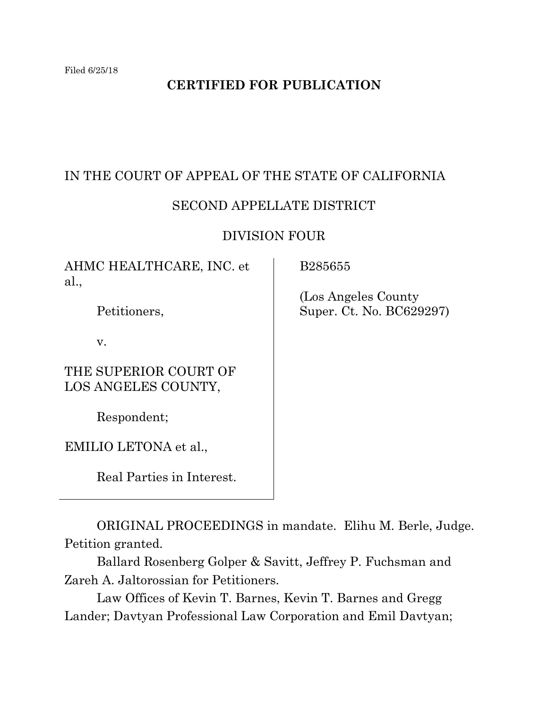# **CERTIFIED FOR PUBLICATION**

## IN THE COURT OF APPEAL OF THE STATE OF CALIFORNIA

#### SECOND APPELLATE DISTRICT

#### DIVISION FOUR

AHMC HEALTHCARE, INC. et al.,

Petitioners,

v.

THE SUPERIOR COURT OF LOS ANGELES COUNTY,

Respondent;

EMILIO LETONA et al.,

Real Parties in Interest.

B285655

 (Los Angeles County Super. Ct. No. BC629297)

ORIGINAL PROCEEDINGS in mandate. Elihu M. Berle, Judge. Petition granted.

Ballard Rosenberg Golper & Savitt, Jeffrey P. Fuchsman and Zareh A. Jaltorossian for Petitioners.

Law Offices of Kevin T. Barnes, Kevin T. Barnes and Gregg Lander; Davtyan Professional Law Corporation and Emil Davtyan;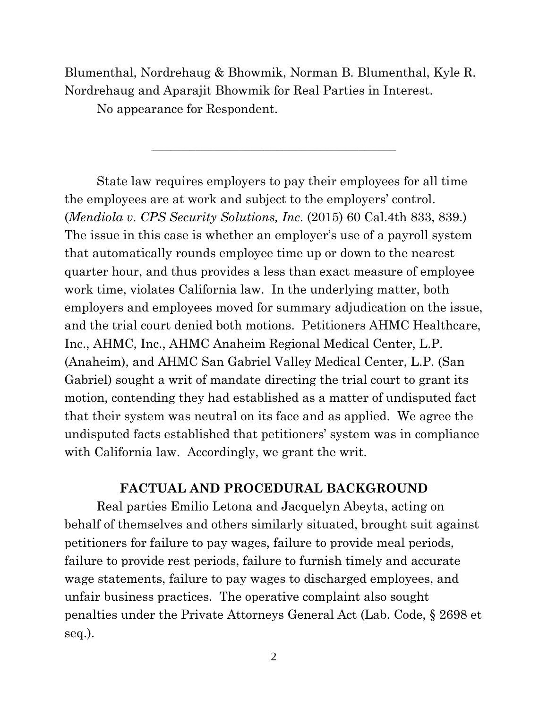Blumenthal, Nordrehaug & Bhowmik, Norman B. Blumenthal, Kyle R. Nordrehaug and Aparajit Bhowmik for Real Parties in Interest.

\_\_\_\_\_\_\_\_\_\_\_\_\_\_\_\_\_\_\_\_\_\_\_\_\_\_\_\_\_\_\_\_\_\_\_\_\_\_\_

No appearance for Respondent.

State law requires employers to pay their employees for all time the employees are at work and subject to the employers' control. (*Mendiola v. CPS Security Solutions, Inc*. (2015) 60 Cal.4th 833, 839.) The issue in this case is whether an employer's use of a payroll system that automatically rounds employee time up or down to the nearest quarter hour, and thus provides a less than exact measure of employee work time, violates California law. In the underlying matter, both employers and employees moved for summary adjudication on the issue, and the trial court denied both motions. Petitioners AHMC Healthcare, Inc., AHMC, Inc., AHMC Anaheim Regional Medical Center, L.P. (Anaheim), and AHMC San Gabriel Valley Medical Center, L.P. (San Gabriel) sought a writ of mandate directing the trial court to grant its motion, contending they had established as a matter of undisputed fact that their system was neutral on its face and as applied. We agree the undisputed facts established that petitioners' system was in compliance with California law. Accordingly, we grant the writ.

## **FACTUAL AND PROCEDURAL BACKGROUND**

Real parties Emilio Letona and Jacquelyn Abeyta, acting on behalf of themselves and others similarly situated, brought suit against petitioners for failure to pay wages, failure to provide meal periods, failure to provide rest periods, failure to furnish timely and accurate wage statements, failure to pay wages to discharged employees, and unfair business practices. The operative complaint also sought penalties under the Private Attorneys General Act (Lab. Code, § 2698 et seq.).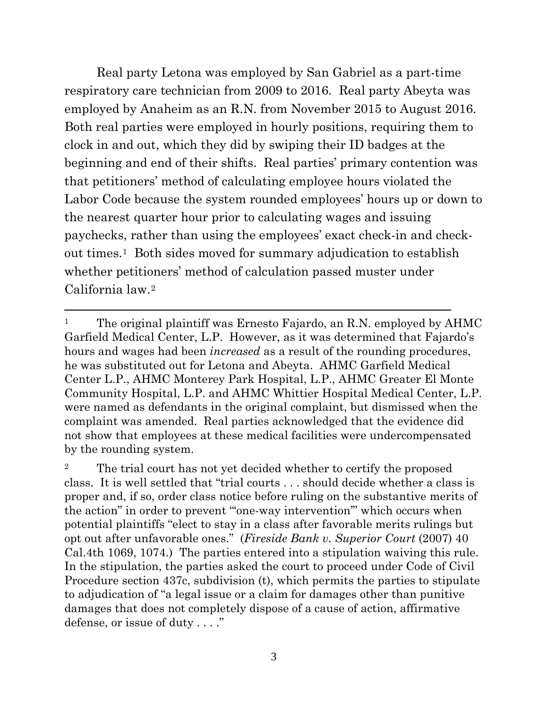Real party Letona was employed by San Gabriel as a part-time respiratory care technician from 2009 to 2016. Real party Abeyta was employed by Anaheim as an R.N. from November 2015 to August 2016. Both real parties were employed in hourly positions, requiring them to clock in and out, which they did by swiping their ID badges at the beginning and end of their shifts. Real parties' primary contention was that petitioners' method of calculating employee hours violated the Labor Code because the system rounded employees' hours up or down to the nearest quarter hour prior to calculating wages and issuing paychecks, rather than using the employees' exact check-in and checkout times.[1](#page-2-0) Both sides moved for summary adjudication to establish whether petitioners' method of calculation passed muster under California law.[2](#page-2-1) 

<span id="page-2-0"></span><sup>&</sup>lt;sup>1</sup> The original plaintiff was Ernesto Fajardo, an R.N. employed by  $AHMC$ Garfield Medical Center, L.P. However, as it was determined that Fajardo's hours and wages had been *increased* as a result of the rounding procedures, he was substituted out for Letona and Abeyta. AHMC Garfield Medical Center L.P., AHMC Monterey Park Hospital, L.P., AHMC Greater El Monte Community Hospital, L.P. and AHMC Whittier Hospital Medical Center, L.P. were named as defendants in the original complaint, but dismissed when the complaint was amended. Real parties acknowledged that the evidence did not show that employees at these medical facilities were undercompensated by the rounding system.

<span id="page-2-1"></span><sup>2</sup> The trial court has not yet decided whether to certify the proposed class. It is well settled that "trial courts . . . should decide whether a class is proper and, if so, order class notice before ruling on the substantive merits of the action" in order to prevent "'one-way intervention'" which occurs when potential plaintiffs "elect to stay in a class after favorable merits rulings but opt out after unfavorable ones." (*Fireside Bank v. Superior Court* (2007) 40 Cal.4th 1069, 1074.) The parties entered into a stipulation waiving this rule. In the stipulation, the parties asked the court to proceed under Code of Civil Procedure section 437c, subdivision (t), which permits the parties to stipulate to adjudication of "a legal issue or a claim for damages other than punitive damages that does not completely dispose of a cause of action, affirmative defense, or issue of duty . . . ."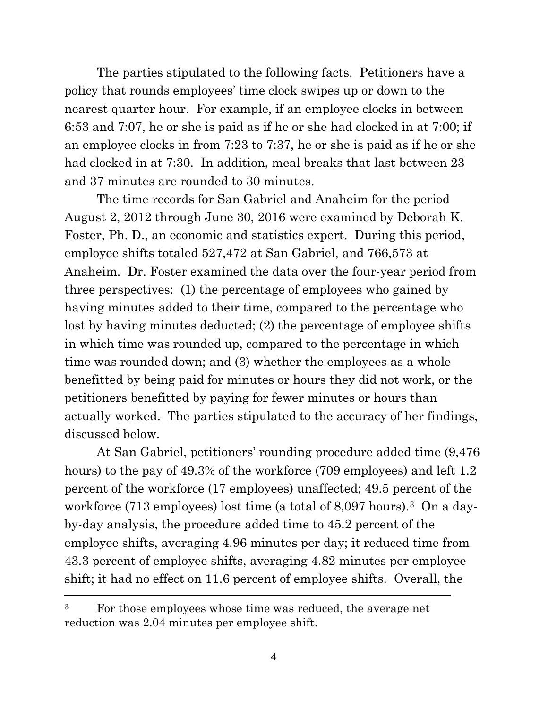The parties stipulated to the following facts. Petitioners have a policy that rounds employees' time clock swipes up or down to the nearest quarter hour. For example, if an employee clocks in between 6:53 and 7:07, he or she is paid as if he or she had clocked in at 7:00; if an employee clocks in from 7:23 to 7:37, he or she is paid as if he or she had clocked in at 7:30. In addition, meal breaks that last between 23 and 37 minutes are rounded to 30 minutes.

The time records for San Gabriel and Anaheim for the period August 2, 2012 through June 30, 2016 were examined by Deborah K. Foster, Ph. D., an economic and statistics expert. During this period, employee shifts totaled 527,472 at San Gabriel, and 766,573 at Anaheim. Dr. Foster examined the data over the four-year period from three perspectives: (1) the percentage of employees who gained by having minutes added to their time, compared to the percentage who lost by having minutes deducted; (2) the percentage of employee shifts in which time was rounded up, compared to the percentage in which time was rounded down; and (3) whether the employees as a whole benefitted by being paid for minutes or hours they did not work, or the petitioners benefitted by paying for fewer minutes or hours than actually worked. The parties stipulated to the accuracy of her findings, discussed below.

At San Gabriel, petitioners' rounding procedure added time (9,476 hours) to the pay of 49.3% of the workforce (709 employees) and left 1.2 percent of the workforce (17 employees) unaffected; 49.5 percent of the workforce (71[3](#page-3-0) employees) lost time (a total of 8,097 hours).<sup>3</sup> On a dayby-day analysis, the procedure added time to 45.2 percent of the employee shifts, averaging 4.96 minutes per day; it reduced time from 43.3 percent of employee shifts, averaging 4.82 minutes per employee shift; it had no effect on 11.6 percent of employee shifts. Overall, the

<span id="page-3-0"></span><sup>&</sup>lt;sup>3</sup> For those employees whose time was reduced, the average net reduction was 2.04 minutes per employee shift.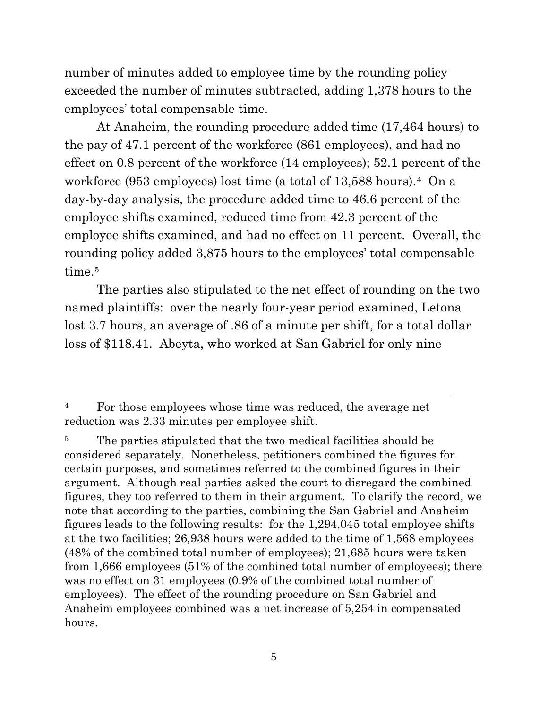number of minutes added to employee time by the rounding policy exceeded the number of minutes subtracted, adding 1,378 hours to the employees' total compensable time.

At Anaheim, the rounding procedure added time (17,464 hours) to the pay of 47.1 percent of the workforce (861 employees), and had no effect on 0.8 percent of the workforce (14 employees); 52.1 percent of the workforce (953 employees) lost time (a total of 13,588 hours).[4](#page-4-0) On a day-by-day analysis, the procedure added time to 46.6 percent of the employee shifts examined, reduced time from 42.3 percent of the employee shifts examined, and had no effect on 11 percent. Overall, the rounding policy added 3,875 hours to the employees' total compensable time.<sup>[5](#page-4-1)</sup>

The parties also stipulated to the net effect of rounding on the two named plaintiffs: over the nearly four-year period examined, Letona lost 3.7 hours, an average of .86 of a minute per shift, for a total dollar loss of \$118.41. Abeyta, who worked at San Gabriel for only nine

<span id="page-4-0"></span><sup>&</sup>lt;sup>4</sup> For those employees whose time was reduced, the average net reduction was 2.33 minutes per employee shift.

<span id="page-4-1"></span><sup>&</sup>lt;sup>5</sup> The parties stipulated that the two medical facilities should be considered separately. Nonetheless, petitioners combined the figures for certain purposes, and sometimes referred to the combined figures in their argument. Although real parties asked the court to disregard the combined figures, they too referred to them in their argument. To clarify the record, we note that according to the parties, combining the San Gabriel and Anaheim figures leads to the following results: for the 1,294,045 total employee shifts at the two facilities; 26,938 hours were added to the time of 1,568 employees (48% of the combined total number of employees); 21,685 hours were taken from 1,666 employees (51% of the combined total number of employees); there was no effect on 31 employees (0.9% of the combined total number of employees). The effect of the rounding procedure on San Gabriel and Anaheim employees combined was a net increase of 5,254 in compensated hours.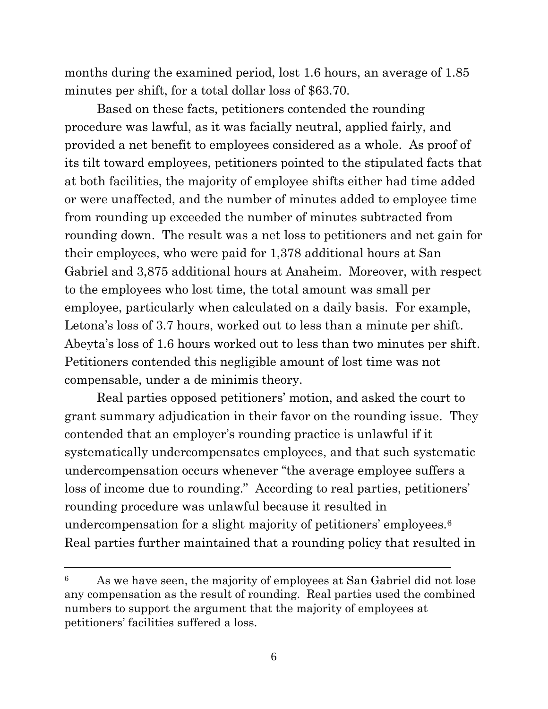months during the examined period, lost 1.6 hours, an average of 1.85 minutes per shift, for a total dollar loss of \$63.70.

Based on these facts, petitioners contended the rounding procedure was lawful, as it was facially neutral, applied fairly, and provided a net benefit to employees considered as a whole. As proof of its tilt toward employees, petitioners pointed to the stipulated facts that at both facilities, the majority of employee shifts either had time added or were unaffected, and the number of minutes added to employee time from rounding up exceeded the number of minutes subtracted from rounding down. The result was a net loss to petitioners and net gain for their employees, who were paid for 1,378 additional hours at San Gabriel and 3,875 additional hours at Anaheim. Moreover, with respect to the employees who lost time, the total amount was small per employee, particularly when calculated on a daily basis. For example, Letona's loss of 3.7 hours, worked out to less than a minute per shift. Abeyta's loss of 1.6 hours worked out to less than two minutes per shift. Petitioners contended this negligible amount of lost time was not compensable, under a de minimis theory.

Real parties opposed petitioners' motion, and asked the court to grant summary adjudication in their favor on the rounding issue. They contended that an employer's rounding practice is unlawful if it systematically undercompensates employees, and that such systematic undercompensation occurs whenever "the average employee suffers a loss of income due to rounding." According to real parties, petitioners' rounding procedure was unlawful because it resulted in undercompensation for a slight majority of petitioners' employees.<sup>6</sup> Real parties further maintained that a rounding policy that resulted in

<span id="page-5-0"></span><sup>6</sup> As we have seen, the majority of employees at San Gabriel did not lose any compensation as the result of rounding. Real parties used the combined numbers to support the argument that the majority of employees at petitioners' facilities suffered a loss.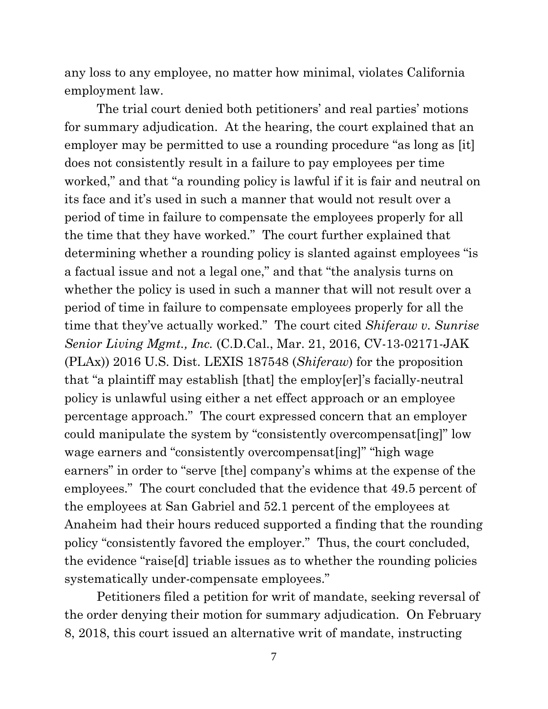any loss to any employee, no matter how minimal, violates California employment law.

The trial court denied both petitioners' and real parties' motions for summary adjudication. At the hearing, the court explained that an employer may be permitted to use a rounding procedure "as long as [it] does not consistently result in a failure to pay employees per time worked," and that "a rounding policy is lawful if it is fair and neutral on its face and it's used in such a manner that would not result over a period of time in failure to compensate the employees properly for all the time that they have worked." The court further explained that determining whether a rounding policy is slanted against employees "is a factual issue and not a legal one," and that "the analysis turns on whether the policy is used in such a manner that will not result over a period of time in failure to compensate employees properly for all the time that they've actually worked." The court cited *Shiferaw v. Sunrise Senior Living Mgmt., Inc.* (C.D.Cal., Mar. 21, 2016, CV-13-02171-JAK (PLAx)) 2016 U.S. Dist. LEXIS 187548 (*Shiferaw*) for the proposition that "a plaintiff may establish [that] the employ[er]'s facially-neutral policy is unlawful using either a net effect approach or an employee percentage approach." The court expressed concern that an employer could manipulate the system by "consistently overcompensat[ing]" low wage earners and "consistently overcompensatering" "high wage earners" in order to "serve [the] company's whims at the expense of the employees." The court concluded that the evidence that 49.5 percent of the employees at San Gabriel and 52.1 percent of the employees at Anaheim had their hours reduced supported a finding that the rounding policy "consistently favored the employer." Thus, the court concluded, the evidence "raise[d] triable issues as to whether the rounding policies systematically under-compensate employees."

Petitioners filed a petition for writ of mandate, seeking reversal of the order denying their motion for summary adjudication. On February 8, 2018, this court issued an alternative writ of mandate, instructing

7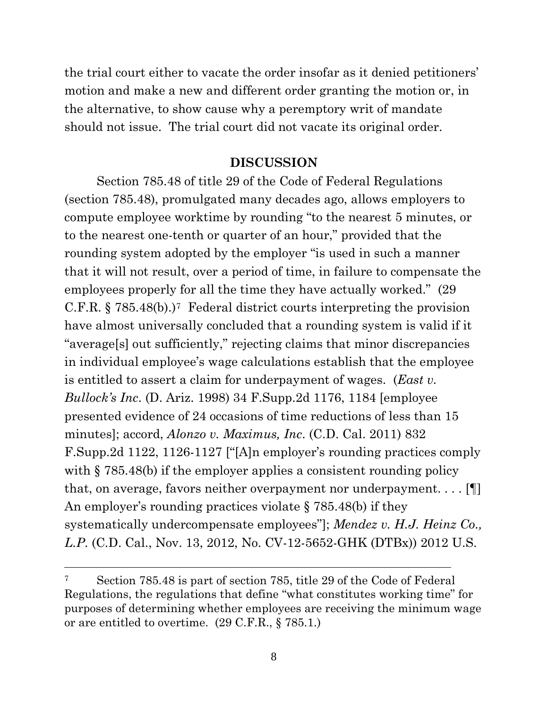the trial court either to vacate the order insofar as it denied petitioners' motion and make a new and different order granting the motion or, in the alternative, to show cause why a peremptory writ of mandate should not issue. The trial court did not vacate its original order.

#### **DISCUSSION**

Section 785.48 of title 29 of the Code of Federal Regulations (section 785.48), promulgated many decades ago, allows employers to compute employee worktime by rounding "to the nearest 5 minutes, or to the nearest one-tenth or quarter of an hour," provided that the rounding system adopted by the employer "is used in such a manner that it will not result, over a period of time, in failure to compensate the employees properly for all the time they have actually worked." (29 C.F.R.  $\S 785.48(b)$  $\S 785.48(b)$  $\S 785.48(b)$ .)<sup>7</sup> Federal district courts interpreting the provision have almost universally concluded that a rounding system is valid if it "average[s] out sufficiently," rejecting claims that minor discrepancies in individual employee's wage calculations establish that the employee is entitled to assert a claim for underpayment of wages. (*East v. Bullock's Inc*. (D. Ariz. 1998) 34 F.Supp.2d 1176, 1184 [employee presented evidence of 24 occasions of time reductions of less than 15 minutes]; accord, *Alonzo v. Maximus, Inc*. (C.D. Cal. 2011) 832 F.Supp.2d 1122, 1126-1127 ["[A]n employer's rounding practices comply with § 785.48(b) if the employer applies a consistent rounding policy that, on average, favors neither overpayment nor underpayment. . . . [¶] An employer's rounding practices violate § 785.48(b) if they systematically undercompensate employees"]; *Mendez v. H.J. Heinz Co., L.P*. (C.D. Cal., Nov. 13, 2012, No. CV-12-5652-GHK (DTBx)) 2012 U.S.

<span id="page-7-0"></span><sup>7</sup> Section 785.48 is part of section 785, title 29 of the Code of Federal Regulations, the regulations that define "what constitutes working time" for purposes of determining whether employees are receiving the minimum wage or are entitled to overtime. (29 C.F.R., § 785.1.)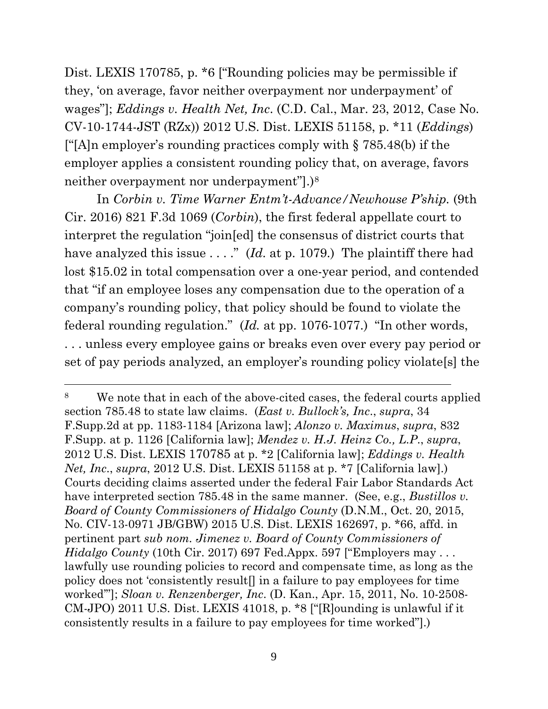Dist. LEXIS 170785, p. \*6 ["Rounding policies may be permissible if they, 'on average, favor neither overpayment nor underpayment' of wages"]; *Eddings v. Health Net, Inc*. (C.D. Cal., Mar. 23, 2012, Case No. CV-10-1744-JST (RZx)) 2012 U.S. Dist. LEXIS 51158, p. \*11 (*Eddings*) [" $[A]$ n employer's rounding practices comply with § 785.48(b) if the employer applies a consistent rounding policy that, on average, favors neither overpayment nor underpayment"].[\)8](#page-8-0)

In *Corbin v. Time Warner Entm't-Advance/Newhouse P'ship.* (9th Cir. 2016) 821 F.3d 1069 (*Corbin*), the first federal appellate court to interpret the regulation "join[ed] the consensus of district courts that have analyzed this issue . . . ." (*Id.* at p. 1079.) The plaintiff there had lost \$15.02 in total compensation over a one-year period, and contended that "if an employee loses any compensation due to the operation of a company's rounding policy, that policy should be found to violate the federal rounding regulation." (*Id.* at pp. 1076-1077.) "In other words, . . . unless every employee gains or breaks even over every pay period or set of pay periods analyzed, an employer's rounding policy violate[s] the

<span id="page-8-0"></span><sup>8</sup> We note that in each of the above-cited cases, the federal courts applied section 785.48 to state law claims. (*East v. Bullock's, Inc*., *supra*, 34 F.Supp.2d at pp. 1183-1184 [Arizona law]; *Alonzo v. Maximus*, *supra*, 832 F.Supp. at p. 1126 [California law]; *Mendez v. H.J. Heinz Co., L.P*., *supra*, 2012 U.S. Dist. LEXIS 170785 at p. \*2 [California law]; *Eddings v. Health Net, Inc*., *supra*, 2012 U.S. Dist. LEXIS 51158 at p. \*7 [California law].) Courts deciding claims asserted under the federal Fair Labor Standards Act have interpreted section 785.48 in the same manner. (See, e.g., *Bustillos v. Board of County Commissioners of Hidalgo County* (D.N.M., Oct. 20, 2015, No. CIV-13-0971 JB/GBW) 2015 U.S. Dist. LEXIS 162697, p. \*66, affd. in pertinent part *sub nom. Jimenez v. Board of County Commissioners of Hidalgo County* (10th Cir. 2017) 697 Fed.Appx. 597 ["Employers may . . . lawfully use rounding policies to record and compensate time, as long as the policy does not 'consistently result[] in a failure to pay employees for time worked'"]; *Sloan v. Renzenberger, Inc*. (D. Kan., Apr. 15, 2011, No. 10-2508- CM-JPO) 2011 U.S. Dist. LEXIS 41018, p. \*8 ["[R]ounding is unlawful if it consistently results in a failure to pay employees for time worked"].)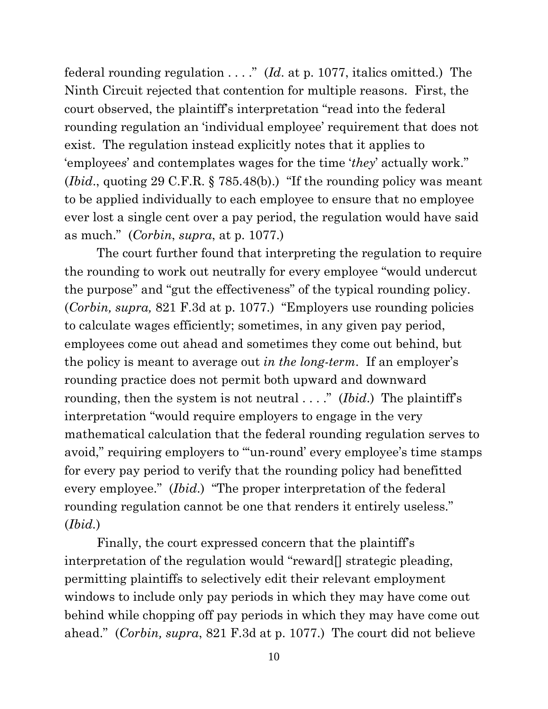federal rounding regulation . . . ." (*Id*. at p. 1077, italics omitted.) The Ninth Circuit rejected that contention for multiple reasons. First, the court observed, the plaintiff's interpretation "read into the federal rounding regulation an 'individual employee' requirement that does not exist. The regulation instead explicitly notes that it applies to 'employee*s*' and contemplates wages for the time '*they*' actually work." (*Ibid*., quoting 29 C.F.R. § 785.48(b).) "If the rounding policy was meant to be applied individually to each employee to ensure that no employee ever lost a single cent over a pay period, the regulation would have said as much." (*Corbin*, *supra*, at p. 1077.)

The court further found that interpreting the regulation to require the rounding to work out neutrally for every employee "would undercut the purpose" and "gut the effectiveness" of the typical rounding policy. (*Corbin, supra,* 821 F.3d at p. 1077.) "Employers use rounding policies to calculate wages efficiently; sometimes, in any given pay period, employees come out ahead and sometimes they come out behind, but the policy is meant to average out *in the long-term*. If an employer's rounding practice does not permit both upward and downward rounding, then the system is not neutral . . . ." (*Ibid*.) The plaintiff's interpretation "would require employers to engage in the very mathematical calculation that the federal rounding regulation serves to avoid," requiring employers to ""un-round' every employee's time stamps for every pay period to verify that the rounding policy had benefitted every employee." (*Ibid*.) "The proper interpretation of the federal rounding regulation cannot be one that renders it entirely useless." (*Ibid.*)

Finally, the court expressed concern that the plaintiff's interpretation of the regulation would "reward[] strategic pleading, permitting plaintiffs to selectively edit their relevant employment windows to include only pay periods in which they may have come out behind while chopping off pay periods in which they may have come out ahead." (*Corbin, supra*, 821 F.3d at p. 1077.) The court did not believe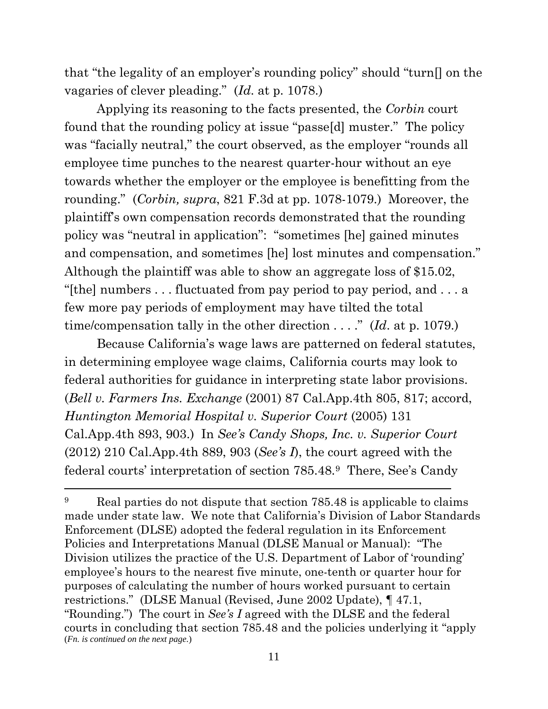that "the legality of an employer's rounding policy" should "turn[] on the vagaries of clever pleading." (*Id*. at p. 1078.)

Applying its reasoning to the facts presented, the *Corbin* court found that the rounding policy at issue "passe[d] muster." The policy was "facially neutral," the court observed, as the employer "rounds all employee time punches to the nearest quarter-hour without an eye towards whether the employer or the employee is benefitting from the rounding." (*Corbin, supra*, 821 F.3d at pp. 1078-1079.) Moreover, the plaintiff's own compensation records demonstrated that the rounding policy was "neutral in application": "sometimes [he] gained minutes and compensation, and sometimes [he] lost minutes and compensation." Although the plaintiff was able to show an aggregate loss of \$15.02, "[the] numbers . . . fluctuated from pay period to pay period, and . . . a few more pay periods of employment may have tilted the total time/compensation tally in the other direction . . . ." (*Id*. at p. 1079.)

Because California's wage laws are patterned on federal statutes, in determining employee wage claims, California courts may look to federal authorities for guidance in interpreting state labor provisions. (*Bell v. Farmers Ins. Exchange* (2001) 87 Cal.App.4th 805, 817; accord, *Huntington Memorial Hospital v. Superior Court* (2005) 131 Cal.App.4th 893, 903.) In *See's Candy Shops, Inc. v. Superior Court* (2012) 210 Cal.App.4th 889, 903 (*See's I*), the court agreed with the federal courts' interpretation of section 785.48.[9](#page-10-0) There, See's Candy

<span id="page-10-0"></span><sup>&</sup>lt;sup>9</sup> Real parties do not dispute that section 785.48 is applicable to claims made under state law. We note that California's Division of Labor Standards Enforcement (DLSE) adopted the federal regulation in its Enforcement Policies and Interpretations Manual (DLSE Manual or Manual): "The Division utilizes the practice of the U.S. Department of Labor of 'rounding' employee's hours to the nearest five minute, one-tenth or quarter hour for purposes of calculating the number of hours worked pursuant to certain restrictions." (DLSE Manual (Revised, June 2002 Update), ¶ 47.1, "Rounding.") The court in *See's I* agreed with the DLSE and the federal courts in concluding that section 785.48 and the policies underlying it "apply (*Fn. is continued on the next page.*)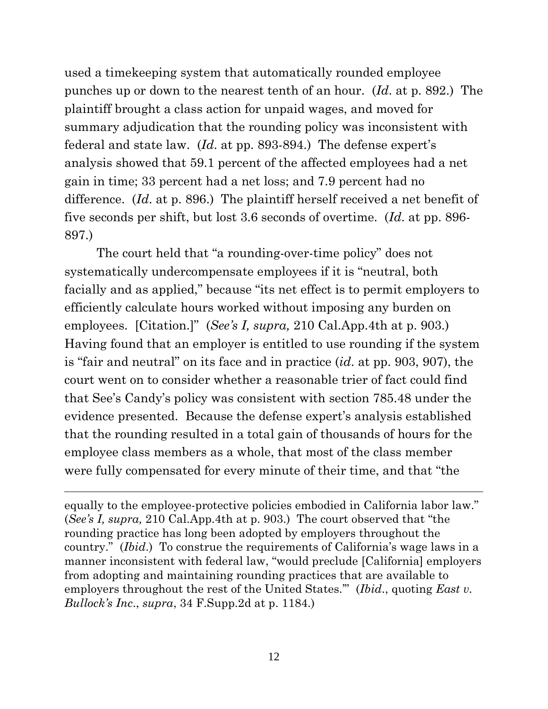used a timekeeping system that automatically rounded employee punches up or down to the nearest tenth of an hour. (*Id*. at p. 892.) The plaintiff brought a class action for unpaid wages, and moved for summary adjudication that the rounding policy was inconsistent with federal and state law. (*Id*. at pp. 893-894.) The defense expert's analysis showed that 59.1 percent of the affected employees had a net gain in time; 33 percent had a net loss; and 7.9 percent had no difference. (*Id*. at p. 896.) The plaintiff herself received a net benefit of five seconds per shift, but lost 3.6 seconds of overtime. (*Id*. at pp. 896- 897.)

The court held that "a rounding-over-time policy" does not systematically undercompensate employees if it is "neutral, both facially and as applied," because "its net effect is to permit employers to efficiently calculate hours worked without imposing any burden on employees. [Citation.]" (*See's I, supra,* 210 Cal.App.4th at p. 903.) Having found that an employer is entitled to use rounding if the system is "fair and neutral" on its face and in practice (*id*. at pp. 903, 907), the court went on to consider whether a reasonable trier of fact could find that See's Candy's policy was consistent with section 785.48 under the evidence presented. Because the defense expert's analysis established that the rounding resulted in a total gain of thousands of hours for the employee class members as a whole, that most of the class member were fully compensated for every minute of their time, and that "the

equally to the employee-protective policies embodied in California labor law." (*See's I, supra,* 210 Cal.App.4th at p. 903.) The court observed that "the rounding practice has long been adopted by employers throughout the country." (*Ibid*.) To construe the requirements of California's wage laws in a manner inconsistent with federal law, "would preclude [California] employers from adopting and maintaining rounding practices that are available to employers throughout the rest of the United States.'" (*Ibid*., quoting *East v. Bullock's Inc*., *supra*, 34 F.Supp.2d at p. 1184.)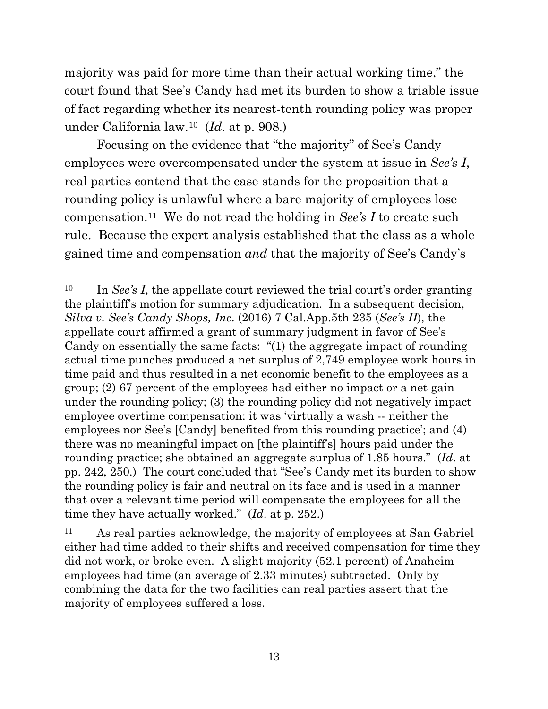majority was paid for more time than their actual working time," the court found that See's Candy had met its burden to show a triable issue of fact regarding whether its nearest-tenth rounding policy was proper under California law.[10](#page-12-0) (*Id*. at p. 908.)

Focusing on the evidence that "the majority" of See's Candy employees were overcompensated under the system at issue in *See's I*, real parties contend that the case stands for the proposition that a rounding policy is unlawful where a bare majority of employees lose compensation.[11](#page-12-1) We do not read the holding in *See's I* to create such rule. Because the expert analysis established that the class as a whole gained time and compensation *and* that the majority of See's Candy's

<span id="page-12-0"></span><sup>10</sup> In *See's I*, the appellate court reviewed the trial court's order granting the plaintiff's motion for summary adjudication. In a subsequent decision, *Silva v. See's Candy Shops, Inc*. (2016) 7 Cal.App.5th 235 (*See's II*), the appellate court affirmed a grant of summary judgment in favor of See's Candy on essentially the same facts: "(1) the aggregate impact of rounding actual time punches produced a net surplus of 2,749 employee work hours in time paid and thus resulted in a net economic benefit to the employees as a group; (2) 67 percent of the employees had either no impact or a net gain under the rounding policy; (3) the rounding policy did not negatively impact employee overtime compensation: it was 'virtually a wash -- neither the employees nor See's [Candy] benefited from this rounding practice'; and (4) there was no meaningful impact on [the plaintiff's] hours paid under the rounding practice; she obtained an aggregate surplus of 1.85 hours." (*Id*. at pp. 242, 250.) The court concluded that "See's Candy met its burden to show the rounding policy is fair and neutral on its face and is used in a manner that over a relevant time period will compensate the employees for all the time they have actually worked." (*Id*. at p. 252.)

<span id="page-12-1"></span><sup>11</sup> As real parties acknowledge, the majority of employees at San Gabriel either had time added to their shifts and received compensation for time they did not work, or broke even. A slight majority (52.1 percent) of Anaheim employees had time (an average of 2.33 minutes) subtracted. Only by combining the data for the two facilities can real parties assert that the majority of employees suffered a loss.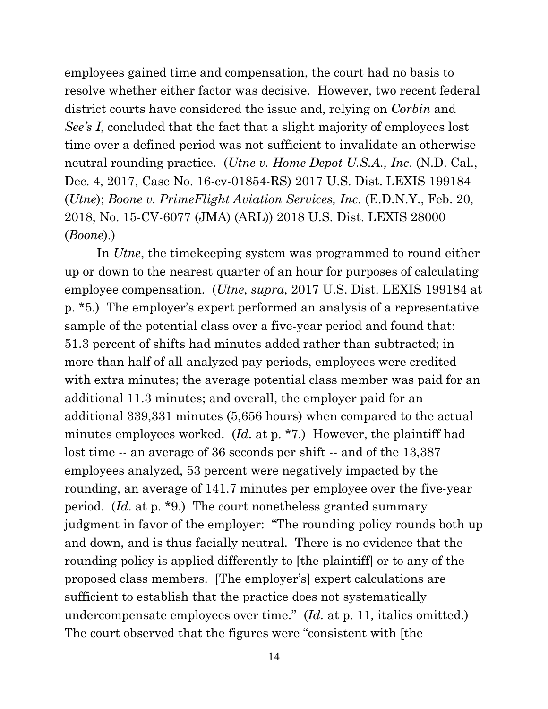employees gained time and compensation, the court had no basis to resolve whether either factor was decisive. However, two recent federal district courts have considered the issue and, relying on *Corbin* and *See's I*, concluded that the fact that a slight majority of employees lost time over a defined period was not sufficient to invalidate an otherwise neutral rounding practice. (*Utne v. Home Depot U.S.A., Inc*. (N.D. Cal., Dec. 4, 2017, Case No. 16-cv-01854-RS) 2017 U.S. Dist. LEXIS 199184 (*Utne*); *Boone v. PrimeFlight Aviation Services, Inc*. (E.D.N.Y., Feb. 20, 2018, No. 15-CV-6077 (JMA) (ARL)) 2018 U.S. Dist. LEXIS 28000 (*Boone*).)

In *Utne*, the timekeeping system was programmed to round either up or down to the nearest quarter of an hour for purposes of calculating employee compensation. (*Utne*, *supra*, 2017 U.S. Dist. LEXIS 199184 at p. \*5.) The employer's expert performed an analysis of a representative sample of the potential class over a five-year period and found that: 51.3 percent of shifts had minutes added rather than subtracted; in more than half of all analyzed pay periods, employees were credited with extra minutes; the average potential class member was paid for an additional 11.3 minutes; and overall, the employer paid for an additional 339,331 minutes (5,656 hours) when compared to the actual minutes employees worked. (*Id*. at p. \*7.) However, the plaintiff had lost time -- an average of 36 seconds per shift -- and of the 13,387 employees analyzed, 53 percent were negatively impacted by the rounding, an average of 141.7 minutes per employee over the five-year period. (*Id*. at p. \*9.) The court nonetheless granted summary judgment in favor of the employer: "The rounding policy rounds both up and down, and is thus facially neutral. There is no evidence that the rounding policy is applied differently to [the plaintiff] or to any of the proposed class members. [The employer's] expert calculations are sufficient to establish that the practice does not systematically undercompensate employees over time." (*Id.* at p. 11*,* italics omitted.) The court observed that the figures were "consistent with [the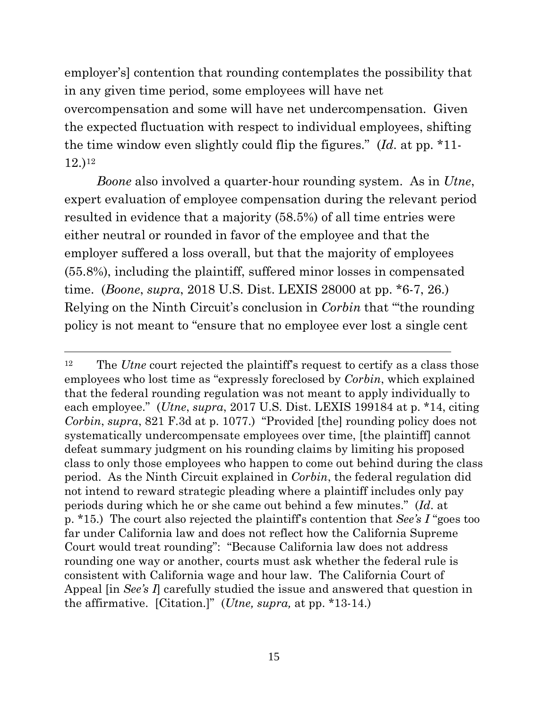employer's] contention that rounding contemplates the possibility that in any given time period, some employees will have net overcompensation and some will have net undercompensation. Given the expected fluctuation with respect to individual employees, shifting the time window even slightly could flip the figures." (*Id*. at pp. \*11- 12.)[12](#page-14-0)

*Boone* also involved a quarter-hour rounding system. As in *Utne*, expert evaluation of employee compensation during the relevant period resulted in evidence that a majority (58.5%) of all time entries were either neutral or rounded in favor of the employee and that the employer suffered a loss overall, but that the majority of employees (55.8%), including the plaintiff, suffered minor losses in compensated time. (*Boone*, *supra*, 2018 U.S. Dist. LEXIS 28000 at pp. \*6-7, 26.) Relying on the Ninth Circuit's conclusion in *Corbin* that "'the rounding policy is not meant to "ensure that no employee ever lost a single cent

<span id="page-14-0"></span><sup>&</sup>lt;sup>12</sup> The *Utne* court rejected the plaintiff's request to certify as a class those employees who lost time as "expressly foreclosed by *Corbin*, which explained that the federal rounding regulation was not meant to apply individually to each employee." (*Utne*, *supra*, 2017 U.S. Dist. LEXIS 199184 at p. \*14, citing *Corbin*, *supra*, 821 F.3d at p. 1077.) "Provided [the] rounding policy does not systematically undercompensate employees over time, [the plaintiff] cannot defeat summary judgment on his rounding claims by limiting his proposed class to only those employees who happen to come out behind during the class period. As the Ninth Circuit explained in *Corbin*, the federal regulation did not intend to reward strategic pleading where a plaintiff includes only pay periods during which he or she came out behind a few minutes." (*Id*. at p. \*15.) The court also rejected the plaintiff's contention that *See's I* "goes too far under California law and does not reflect how the California Supreme Court would treat rounding": "Because California law does not address rounding one way or another, courts must ask whether the federal rule is consistent with California wage and hour law. The California Court of Appeal [in *See's I*] carefully studied the issue and answered that question in the affirmative. [Citation.]" (*Utne, supra,* at pp. \*13-14.)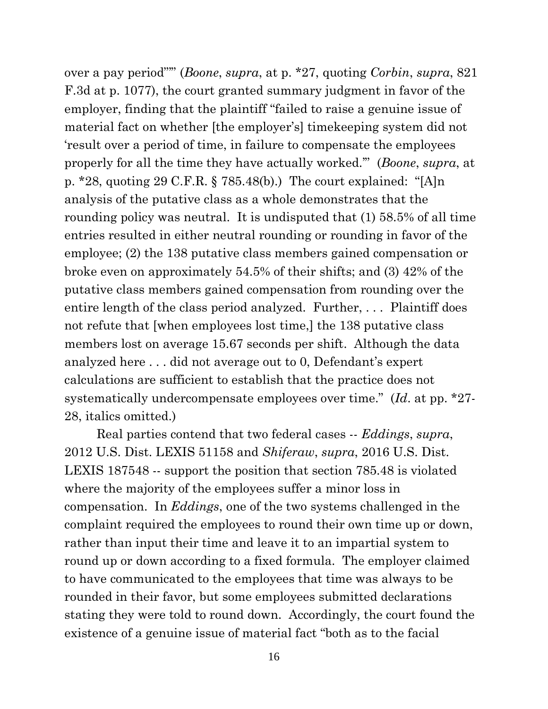over a pay period"'" (*Boone*, *supra*, at p. \*27, quoting *Corbin*, *supra*, 821 F.3d at p. 1077), the court granted summary judgment in favor of the employer, finding that the plaintiff "failed to raise a genuine issue of material fact on whether [the employer's] timekeeping system did not 'result over a period of time, in failure to compensate the employees properly for all the time they have actually worked.'" (*Boone*, *supra*, at p. \*28, quoting 29 C.F.R.  $\S 785.48(b)$ .) The court explained: "[A]n analysis of the putative class as a whole demonstrates that the rounding policy was neutral. It is undisputed that (1) 58.5% of all time entries resulted in either neutral rounding or rounding in favor of the employee; (2) the 138 putative class members gained compensation or broke even on approximately 54.5% of their shifts; and (3) 42% of the putative class members gained compensation from rounding over the entire length of the class period analyzed. Further, . . . Plaintiff does not refute that [when employees lost time,] the 138 putative class members lost on average 15.67 seconds per shift. Although the data analyzed here . . . did not average out to 0, Defendant's expert calculations are sufficient to establish that the practice does not systematically undercompensate employees over time." (*Id*. at pp. \*27- 28, italics omitted.)

Real parties contend that two federal cases -- *Eddings*, *supra*, 2012 U.S. Dist. LEXIS 51158 and *Shiferaw*, *supra*, 2016 U.S. Dist. LEXIS 187548 -- support the position that section 785.48 is violated where the majority of the employees suffer a minor loss in compensation. In *Eddings*, one of the two systems challenged in the complaint required the employees to round their own time up or down, rather than input their time and leave it to an impartial system to round up or down according to a fixed formula. The employer claimed to have communicated to the employees that time was always to be rounded in their favor, but some employees submitted declarations stating they were told to round down. Accordingly, the court found the existence of a genuine issue of material fact "both as to the facial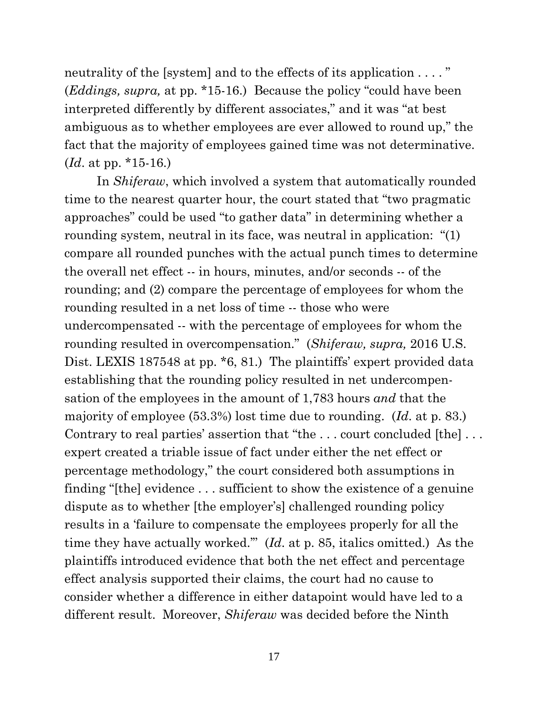neutrality of the [system] and to the effects of its application . . . . " (*Eddings, supra,* at pp. \*15-16.) Because the policy "could have been interpreted differently by different associates," and it was "at best ambiguous as to whether employees are ever allowed to round up," the fact that the majority of employees gained time was not determinative. (*Id*. at pp. \*15-16.)

In *Shiferaw*, which involved a system that automatically rounded time to the nearest quarter hour, the court stated that "two pragmatic approaches" could be used "to gather data" in determining whether a rounding system, neutral in its face, was neutral in application: "(1) compare all rounded punches with the actual punch times to determine the overall net effect -- in hours, minutes, and/or seconds -- of the rounding; and (2) compare the percentage of employees for whom the rounding resulted in a net loss of time -- those who were undercompensated -- with the percentage of employees for whom the rounding resulted in overcompensation." (*Shiferaw, supra,* 2016 U.S. Dist. LEXIS 187548 at pp.  $*6$ , 81.) The plaintiffs' expert provided data establishing that the rounding policy resulted in net undercompensation of the employees in the amount of 1,783 hours *and* that the majority of employee (53.3%) lost time due to rounding. (*Id*. at p. 83.) Contrary to real parties' assertion that "the ... court concluded [the]... expert created a triable issue of fact under either the net effect or percentage methodology," the court considered both assumptions in finding "[the] evidence . . . sufficient to show the existence of a genuine dispute as to whether [the employer's] challenged rounding policy results in a 'failure to compensate the employees properly for all the time they have actually worked.'" (*Id*. at p. 85, italics omitted.) As the plaintiffs introduced evidence that both the net effect and percentage effect analysis supported their claims, the court had no cause to consider whether a difference in either datapoint would have led to a different result. Moreover, *Shiferaw* was decided before the Ninth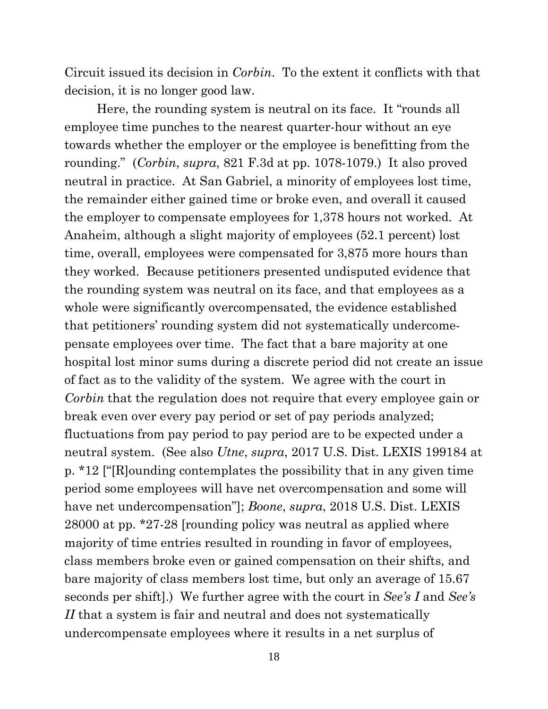Circuit issued its decision in *Corbin*. To the extent it conflicts with that decision, it is no longer good law.

Here, the rounding system is neutral on its face. It "rounds all employee time punches to the nearest quarter-hour without an eye towards whether the employer or the employee is benefitting from the rounding." (*Corbin*, *supra*, 821 F.3d at pp. 1078-1079.) It also proved neutral in practice. At San Gabriel, a minority of employees lost time, the remainder either gained time or broke even, and overall it caused the employer to compensate employees for 1,378 hours not worked. At Anaheim, although a slight majority of employees (52.1 percent) lost time, overall, employees were compensated for 3,875 more hours than they worked. Because petitioners presented undisputed evidence that the rounding system was neutral on its face, and that employees as a whole were significantly overcompensated, the evidence established that petitioners' rounding system did not systematically undercomepensate employees over time. The fact that a bare majority at one hospital lost minor sums during a discrete period did not create an issue of fact as to the validity of the system. We agree with the court in *Corbin* that the regulation does not require that every employee gain or break even over every pay period or set of pay periods analyzed; fluctuations from pay period to pay period are to be expected under a neutral system. (See also *Utne*, *supra*, 2017 U.S. Dist. LEXIS 199184 at p. \*12 ["[R]ounding contemplates the possibility that in any given time period some employees will have net overcompensation and some will have net undercompensation"]; *Boone*, *supra*, 2018 U.S. Dist. LEXIS 28000 at pp. \*27-28 [rounding policy was neutral as applied where majority of time entries resulted in rounding in favor of employees, class members broke even or gained compensation on their shifts, and bare majority of class members lost time, but only an average of 15.67 seconds per shift].) We further agree with the court in *See's I* and *See's II* that a system is fair and neutral and does not systematically undercompensate employees where it results in a net surplus of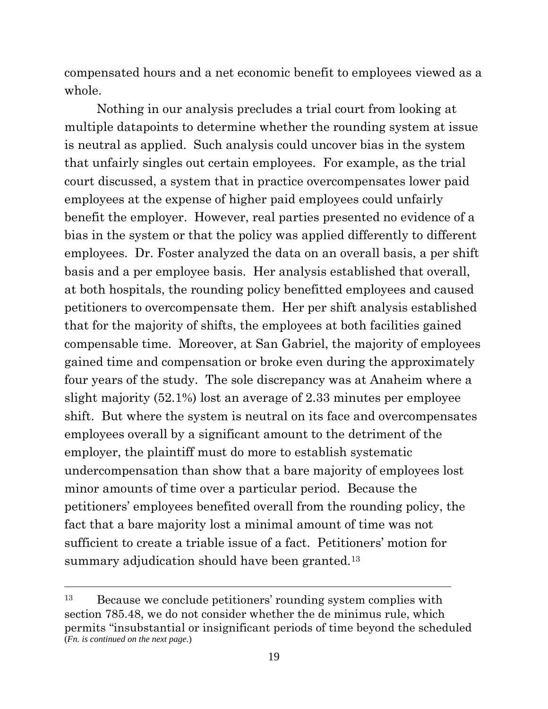compensated hours and a net economic benefit to employees viewed as a whole.

Nothing in our analysis precludes a trial court from looking at multiple datapoints to determine whether the rounding system at issue is neutral as applied. Such analysis could uncover bias in the system that unfairly singles out certain employees. For example, as the trial court discussed, a system that in practice overcompensates lower paid employees at the expense of higher paid employees could unfairly benefit the employer. However, real parties presented no evidence of a bias in the system or that the policy was applied differently to different employees. Dr. Foster analyzed the data on an overall basis, a per shift basis and a per employee basis. Her analysis established that overall, at both hospitals, the rounding policy benefitted employees and caused petitioners to overcompensate them. Her per shift analysis established that for the majority of shifts, the employees at both facilities gained compensable time. Moreover, at San Gabriel, the majority of employees gained time and compensation or broke even during the approximately four years of the study. The sole discrepancy was at Anaheim where a slight majority (52.1%) lost an average of 2.33 minutes per employee shift. But where the system is neutral on its face and overcompensates employees overall by a significant amount to the detriment of the employer, the plaintiff must do more to establish systematic undercompensation than show that a bare majority of employees lost minor amounts of time over a particular period. Because the petitioners' employees benefited overall from the rounding policy, the fact that a bare majority lost a minimal amount of time was not sufficient to create a triable issue of a fact. Petitioners' motion for summary adjudication should have been granted.<sup>[13](#page-18-0)</sup>

<span id="page-18-0"></span><sup>13</sup> Because we conclude petitioners' rounding system complies with section 785.48, we do not consider whether the de minimus rule, which permits "insubstantial or insignificant periods of time beyond the scheduled (*Fn. is continued on the next page.*)